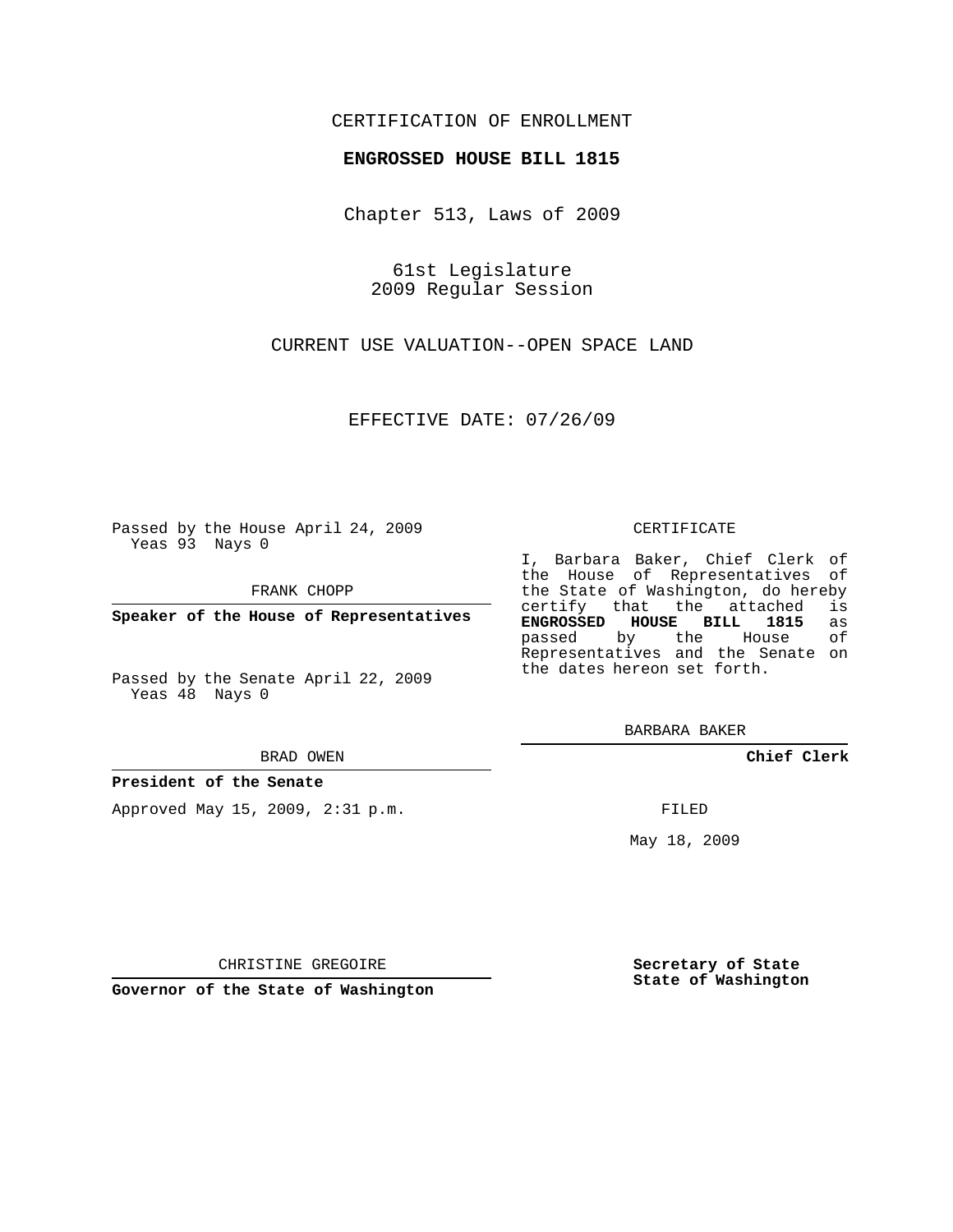# CERTIFICATION OF ENROLLMENT

## **ENGROSSED HOUSE BILL 1815**

Chapter 513, Laws of 2009

61st Legislature 2009 Regular Session

CURRENT USE VALUATION--OPEN SPACE LAND

EFFECTIVE DATE: 07/26/09

Passed by the House April 24, 2009 Yeas 93 Nays 0

FRANK CHOPP

**Speaker of the House of Representatives**

Passed by the Senate April 22, 2009 Yeas 48 Nays 0

#### BRAD OWEN

## **President of the Senate**

Approved May 15, 2009, 2:31 p.m.

#### CERTIFICATE

I, Barbara Baker, Chief Clerk of the House of Representatives of the State of Washington, do hereby<br>certify that the attached is certify that the attached is<br>**ENGROSSED HOUSE BILL 1815** as **ENGROSSED HOUSE BILL 1815** as passed by the House Representatives and the Senate on the dates hereon set forth.

BARBARA BAKER

**Chief Clerk**

FILED

May 18, 2009

**Secretary of State State of Washington**

CHRISTINE GREGOIRE

**Governor of the State of Washington**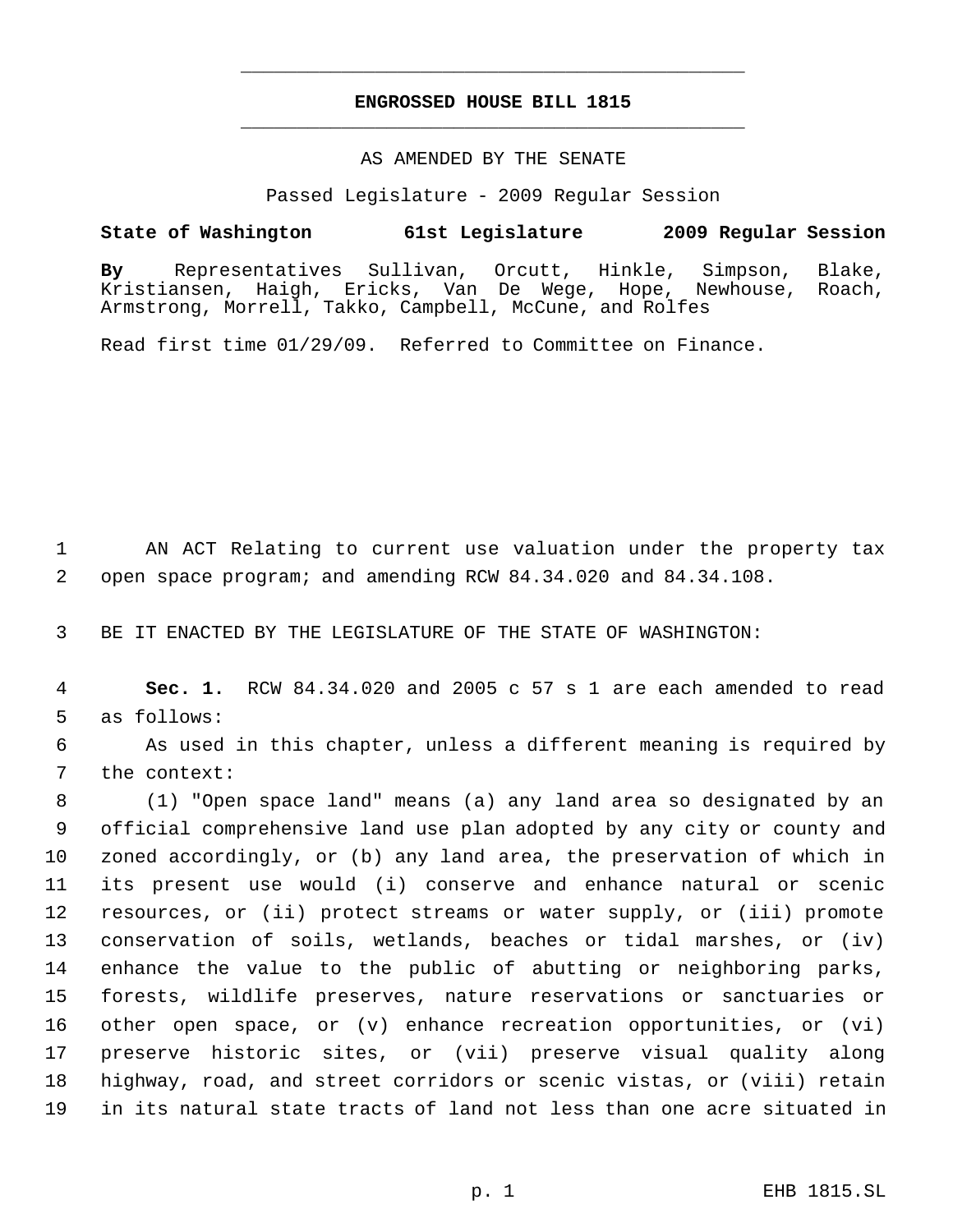# **ENGROSSED HOUSE BILL 1815** \_\_\_\_\_\_\_\_\_\_\_\_\_\_\_\_\_\_\_\_\_\_\_\_\_\_\_\_\_\_\_\_\_\_\_\_\_\_\_\_\_\_\_\_\_

\_\_\_\_\_\_\_\_\_\_\_\_\_\_\_\_\_\_\_\_\_\_\_\_\_\_\_\_\_\_\_\_\_\_\_\_\_\_\_\_\_\_\_\_\_

## AS AMENDED BY THE SENATE

Passed Legislature - 2009 Regular Session

# **State of Washington 61st Legislature 2009 Regular Session**

**By** Representatives Sullivan, Orcutt, Hinkle, Simpson, Blake, Kristiansen, Haigh, Ericks, Van De Wege, Hope, Newhouse, Roach, Armstrong, Morrell, Takko, Campbell, McCune, and Rolfes

Read first time 01/29/09. Referred to Committee on Finance.

 AN ACT Relating to current use valuation under the property tax open space program; and amending RCW 84.34.020 and 84.34.108.

BE IT ENACTED BY THE LEGISLATURE OF THE STATE OF WASHINGTON:

 **Sec. 1.** RCW 84.34.020 and 2005 c 57 s 1 are each amended to read as follows:

 As used in this chapter, unless a different meaning is required by the context:

 (1) "Open space land" means (a) any land area so designated by an official comprehensive land use plan adopted by any city or county and zoned accordingly, or (b) any land area, the preservation of which in its present use would (i) conserve and enhance natural or scenic resources, or (ii) protect streams or water supply, or (iii) promote conservation of soils, wetlands, beaches or tidal marshes, or (iv) enhance the value to the public of abutting or neighboring parks, forests, wildlife preserves, nature reservations or sanctuaries or other open space, or (v) enhance recreation opportunities, or (vi) preserve historic sites, or (vii) preserve visual quality along highway, road, and street corridors or scenic vistas, or (viii) retain in its natural state tracts of land not less than one acre situated in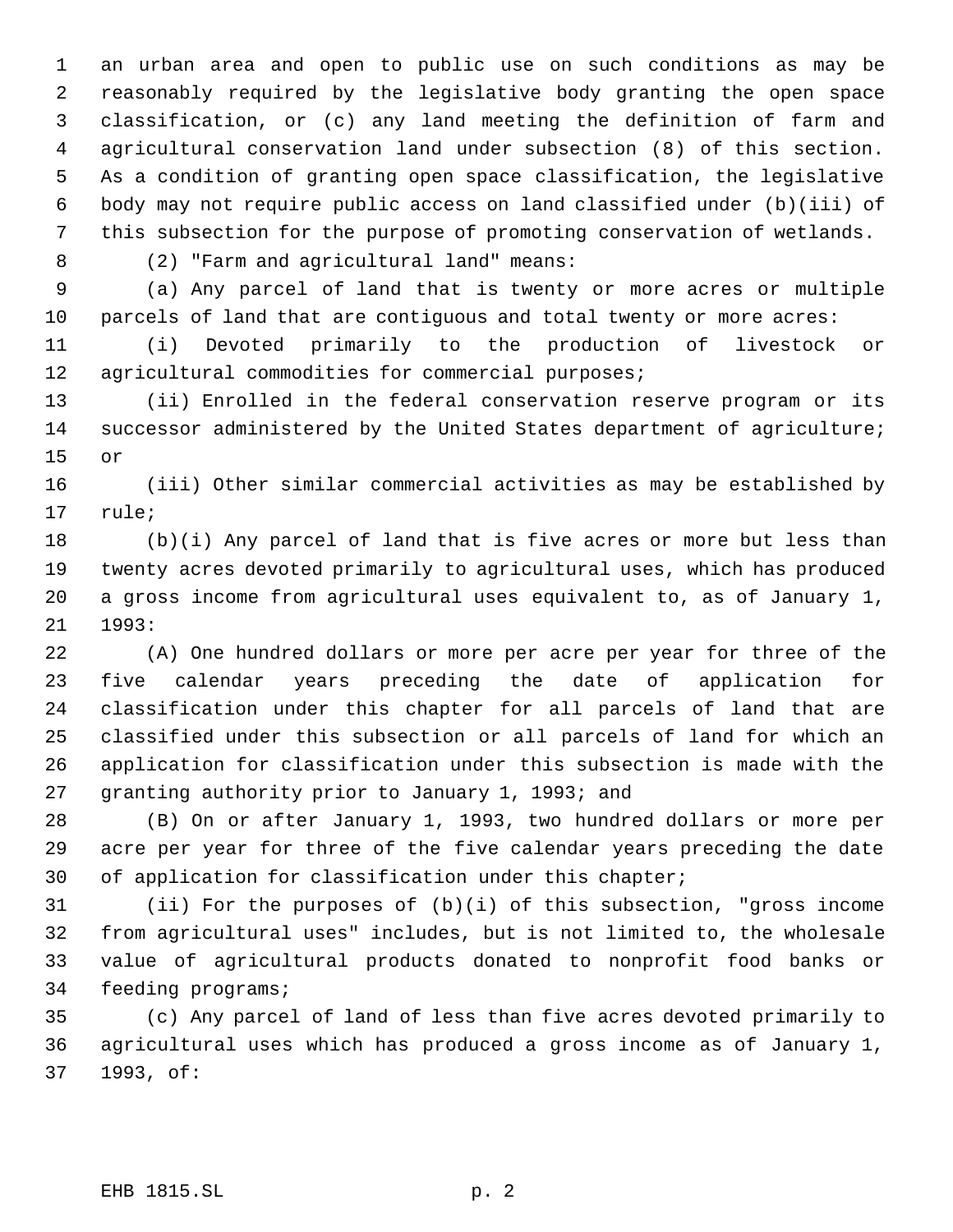an urban area and open to public use on such conditions as may be reasonably required by the legislative body granting the open space classification, or (c) any land meeting the definition of farm and agricultural conservation land under subsection (8) of this section. As a condition of granting open space classification, the legislative body may not require public access on land classified under (b)(iii) of this subsection for the purpose of promoting conservation of wetlands.

(2) "Farm and agricultural land" means:

 (a) Any parcel of land that is twenty or more acres or multiple parcels of land that are contiguous and total twenty or more acres:

 (i) Devoted primarily to the production of livestock or agricultural commodities for commercial purposes;

 (ii) Enrolled in the federal conservation reserve program or its successor administered by the United States department of agriculture; or

 (iii) Other similar commercial activities as may be established by rule;

 (b)(i) Any parcel of land that is five acres or more but less than twenty acres devoted primarily to agricultural uses, which has produced a gross income from agricultural uses equivalent to, as of January 1, 1993:

 (A) One hundred dollars or more per acre per year for three of the five calendar years preceding the date of application for classification under this chapter for all parcels of land that are classified under this subsection or all parcels of land for which an application for classification under this subsection is made with the granting authority prior to January 1, 1993; and

 (B) On or after January 1, 1993, two hundred dollars or more per acre per year for three of the five calendar years preceding the date 30 of application for classification under this chapter;

 (ii) For the purposes of (b)(i) of this subsection, "gross income from agricultural uses" includes, but is not limited to, the wholesale value of agricultural products donated to nonprofit food banks or feeding programs;

 (c) Any parcel of land of less than five acres devoted primarily to agricultural uses which has produced a gross income as of January 1, 1993, of: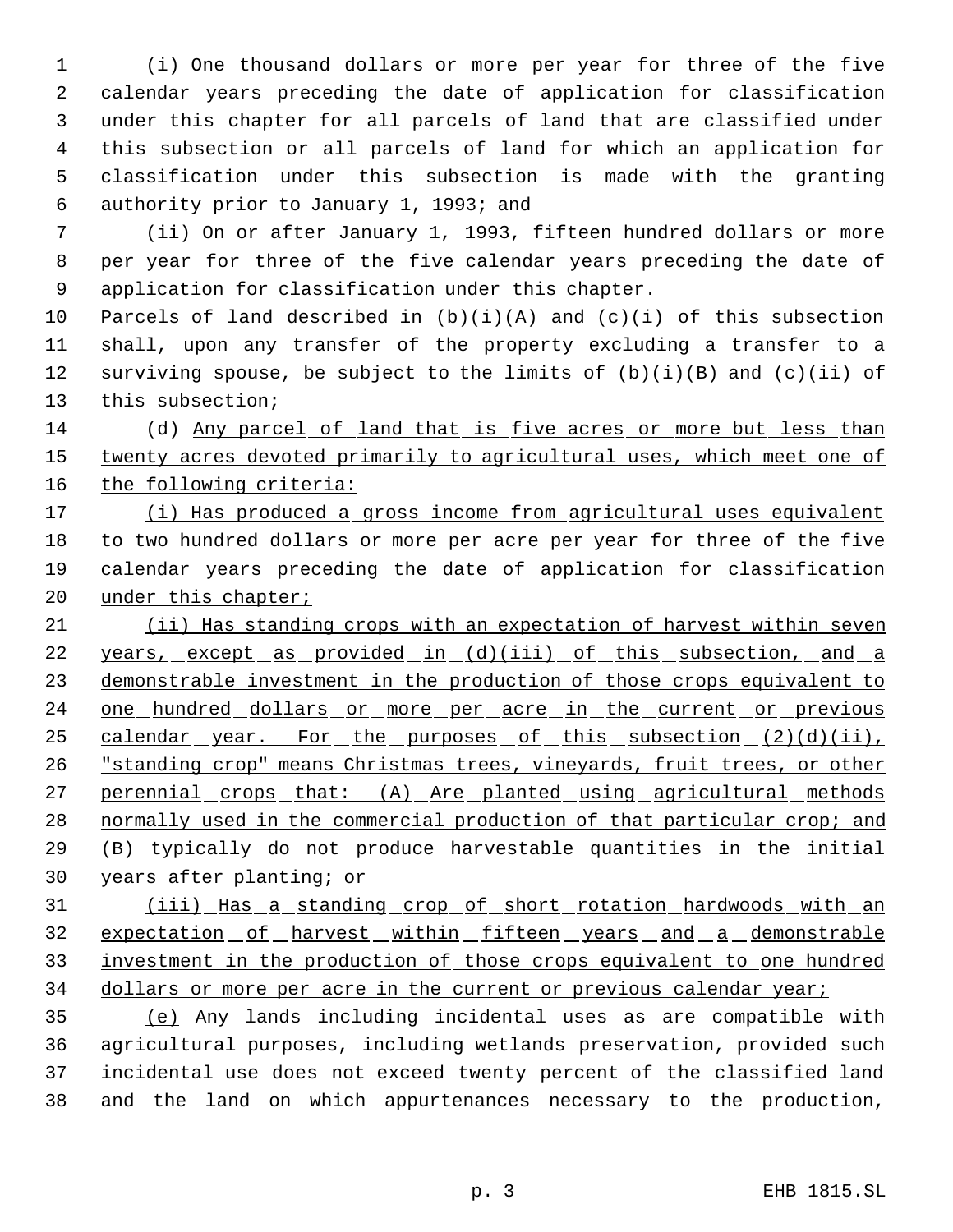(i) One thousand dollars or more per year for three of the five calendar years preceding the date of application for classification under this chapter for all parcels of land that are classified under this subsection or all parcels of land for which an application for classification under this subsection is made with the granting authority prior to January 1, 1993; and

 (ii) On or after January 1, 1993, fifteen hundred dollars or more per year for three of the five calendar years preceding the date of application for classification under this chapter.

10 Parcels of land described in  $(b)(i)(A)$  and  $(c)(i)$  of this subsection shall, upon any transfer of the property excluding a transfer to a 12 surviving spouse, be subject to the limits of  $(b)(i)(B)$  and  $(c)(ii)$  of this subsection;

 (d) Any parcel of land that is five acres or more but less than 15 twenty acres devoted primarily to agricultural uses, which meet one of 16 the following criteria:

 (i) Has produced a gross income from agricultural uses equivalent to two hundred dollars or more per acre per year for three of the five calendar years preceding the date of application for classification 20 under this chapter;

 (ii) Has standing crops with an expectation of harvest within seven 22 years, except as provided in (d)(iii) of this subsection, and a demonstrable investment in the production of those crops equivalent to 24 one hundred dollars or more per acre in the current or previous 25 calendar year. For the purposes of this subsection (2)(d)(ii), "standing crop" means Christmas trees, vineyards, fruit trees, or other 27 perennial crops that: (A) Are planted using agricultural methods 28 normally used in the commercial production of that particular crop; and (B) typically do not produce harvestable quantities in the initial years after planting; or

 (iii) Has a standing crop of short rotation hardwoods with an 32 expectation of harvest within fifteen years and a demonstrable investment in the production of those crops equivalent to one hundred 34 dollars or more per acre in the current or previous calendar year;

 (e) Any lands including incidental uses as are compatible with agricultural purposes, including wetlands preservation, provided such incidental use does not exceed twenty percent of the classified land and the land on which appurtenances necessary to the production,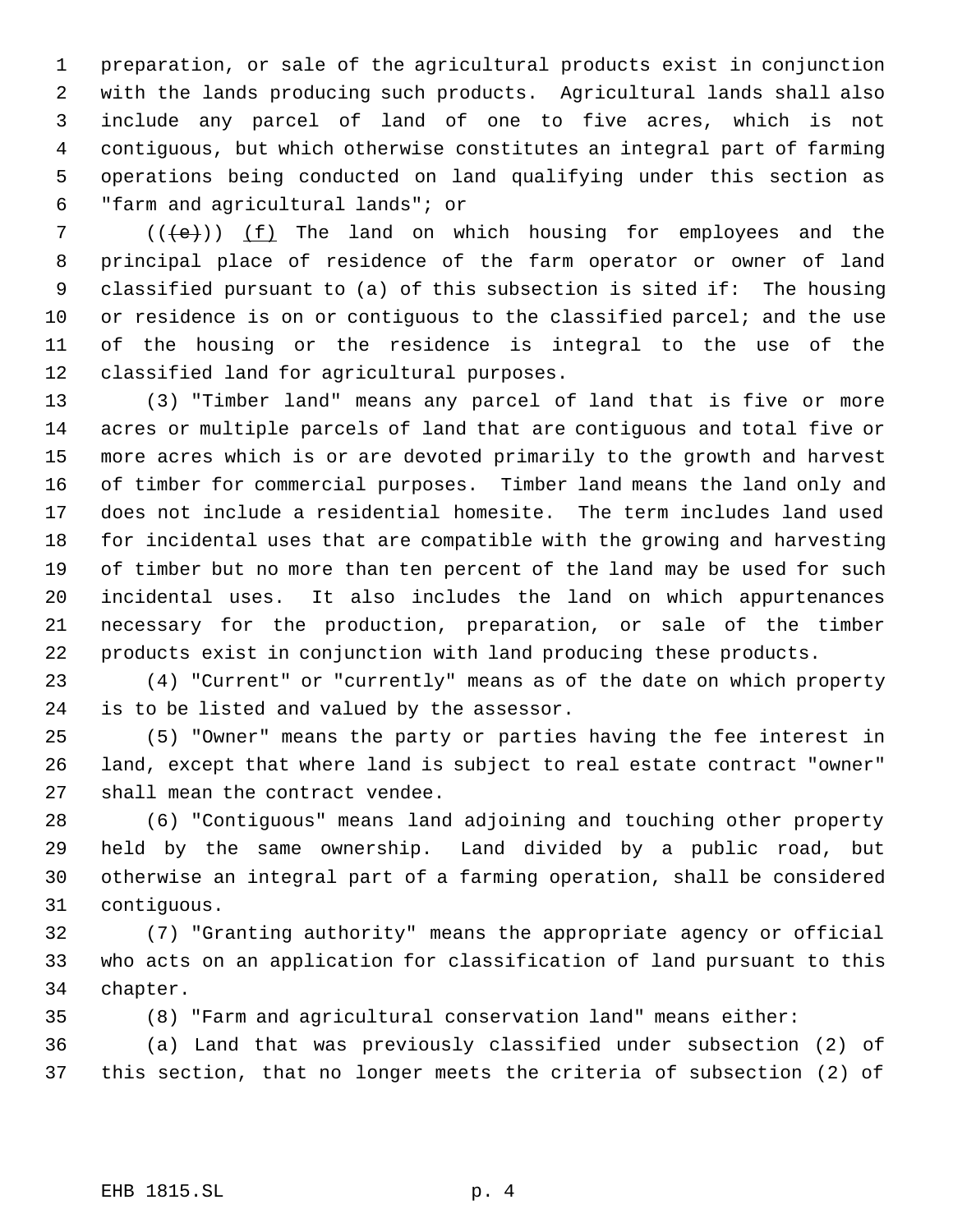preparation, or sale of the agricultural products exist in conjunction with the lands producing such products. Agricultural lands shall also include any parcel of land of one to five acres, which is not contiguous, but which otherwise constitutes an integral part of farming operations being conducted on land qualifying under this section as "farm and agricultural lands"; or

 $((+e))$   $(f)$  The land on which housing for employees and the principal place of residence of the farm operator or owner of land classified pursuant to (a) of this subsection is sited if: The housing 10 or residence is on or contiquous to the classified parcel; and the use of the housing or the residence is integral to the use of the classified land for agricultural purposes.

 (3) "Timber land" means any parcel of land that is five or more acres or multiple parcels of land that are contiguous and total five or more acres which is or are devoted primarily to the growth and harvest of timber for commercial purposes. Timber land means the land only and does not include a residential homesite. The term includes land used for incidental uses that are compatible with the growing and harvesting of timber but no more than ten percent of the land may be used for such incidental uses. It also includes the land on which appurtenances necessary for the production, preparation, or sale of the timber products exist in conjunction with land producing these products.

 (4) "Current" or "currently" means as of the date on which property is to be listed and valued by the assessor.

 (5) "Owner" means the party or parties having the fee interest in land, except that where land is subject to real estate contract "owner" shall mean the contract vendee.

 (6) "Contiguous" means land adjoining and touching other property held by the same ownership. Land divided by a public road, but otherwise an integral part of a farming operation, shall be considered contiguous.

 (7) "Granting authority" means the appropriate agency or official who acts on an application for classification of land pursuant to this chapter.

(8) "Farm and agricultural conservation land" means either:

 (a) Land that was previously classified under subsection (2) of this section, that no longer meets the criteria of subsection (2) of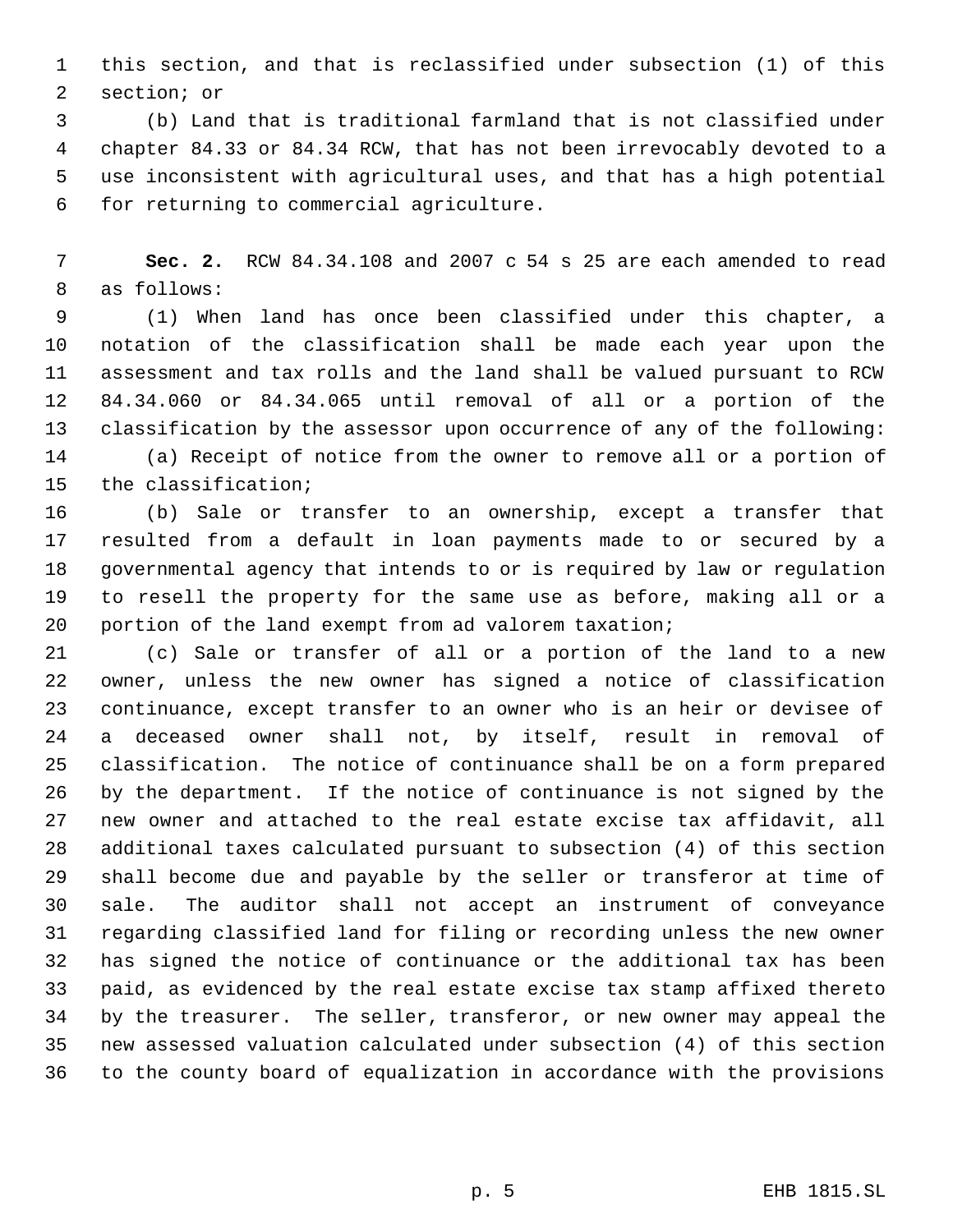this section, and that is reclassified under subsection (1) of this section; or

 (b) Land that is traditional farmland that is not classified under chapter 84.33 or 84.34 RCW, that has not been irrevocably devoted to a use inconsistent with agricultural uses, and that has a high potential for returning to commercial agriculture.

 **Sec. 2.** RCW 84.34.108 and 2007 c 54 s 25 are each amended to read as follows:

 (1) When land has once been classified under this chapter, a notation of the classification shall be made each year upon the assessment and tax rolls and the land shall be valued pursuant to RCW 84.34.060 or 84.34.065 until removal of all or a portion of the classification by the assessor upon occurrence of any of the following: (a) Receipt of notice from the owner to remove all or a portion of the classification;

 (b) Sale or transfer to an ownership, except a transfer that resulted from a default in loan payments made to or secured by a governmental agency that intends to or is required by law or regulation to resell the property for the same use as before, making all or a portion of the land exempt from ad valorem taxation;

 (c) Sale or transfer of all or a portion of the land to a new owner, unless the new owner has signed a notice of classification continuance, except transfer to an owner who is an heir or devisee of a deceased owner shall not, by itself, result in removal of classification. The notice of continuance shall be on a form prepared by the department. If the notice of continuance is not signed by the new owner and attached to the real estate excise tax affidavit, all additional taxes calculated pursuant to subsection (4) of this section shall become due and payable by the seller or transferor at time of sale. The auditor shall not accept an instrument of conveyance regarding classified land for filing or recording unless the new owner has signed the notice of continuance or the additional tax has been paid, as evidenced by the real estate excise tax stamp affixed thereto by the treasurer. The seller, transferor, or new owner may appeal the new assessed valuation calculated under subsection (4) of this section to the county board of equalization in accordance with the provisions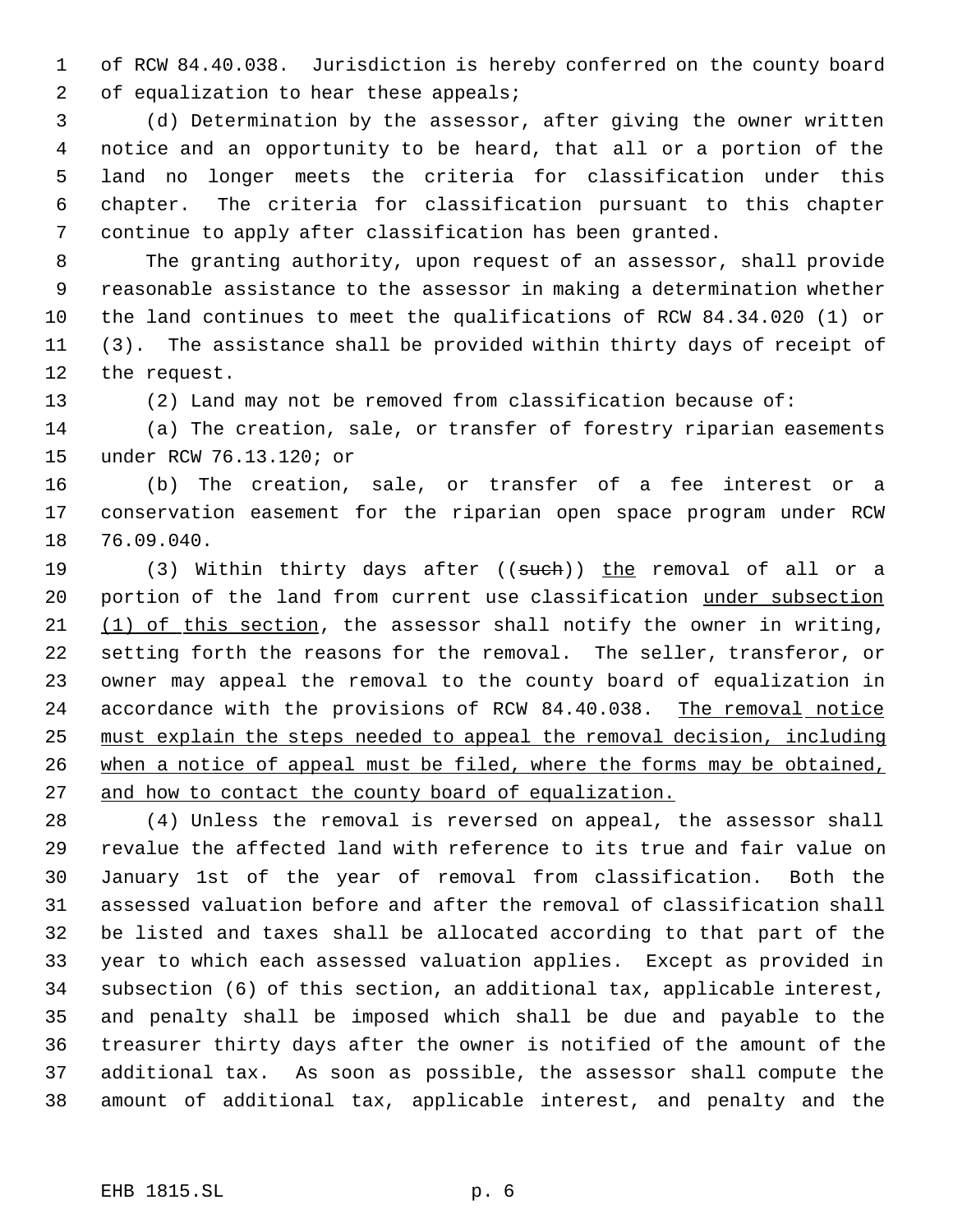of RCW 84.40.038. Jurisdiction is hereby conferred on the county board 2 of equalization to hear these appeals;

 (d) Determination by the assessor, after giving the owner written notice and an opportunity to be heard, that all or a portion of the land no longer meets the criteria for classification under this chapter. The criteria for classification pursuant to this chapter continue to apply after classification has been granted.

 The granting authority, upon request of an assessor, shall provide reasonable assistance to the assessor in making a determination whether the land continues to meet the qualifications of RCW 84.34.020 (1) or (3). The assistance shall be provided within thirty days of receipt of the request.

(2) Land may not be removed from classification because of:

 (a) The creation, sale, or transfer of forestry riparian easements under RCW 76.13.120; or

 (b) The creation, sale, or transfer of a fee interest or a conservation easement for the riparian open space program under RCW 76.09.040.

19 (3) Within thirty days after ((such)) the removal of all or a 20 portion of the land from current use classification under subsection 21 (1) of this section, the assessor shall notify the owner in writing, setting forth the reasons for the removal. The seller, transferor, or owner may appeal the removal to the county board of equalization in 24 accordance with the provisions of RCW 84.40.038. The removal notice must explain the steps needed to appeal the removal decision, including when a notice of appeal must be filed, where the forms may be obtained, 27 and how to contact the county board of equalization.

 (4) Unless the removal is reversed on appeal, the assessor shall revalue the affected land with reference to its true and fair value on January 1st of the year of removal from classification. Both the assessed valuation before and after the removal of classification shall be listed and taxes shall be allocated according to that part of the year to which each assessed valuation applies. Except as provided in subsection (6) of this section, an additional tax, applicable interest, and penalty shall be imposed which shall be due and payable to the treasurer thirty days after the owner is notified of the amount of the additional tax. As soon as possible, the assessor shall compute the amount of additional tax, applicable interest, and penalty and the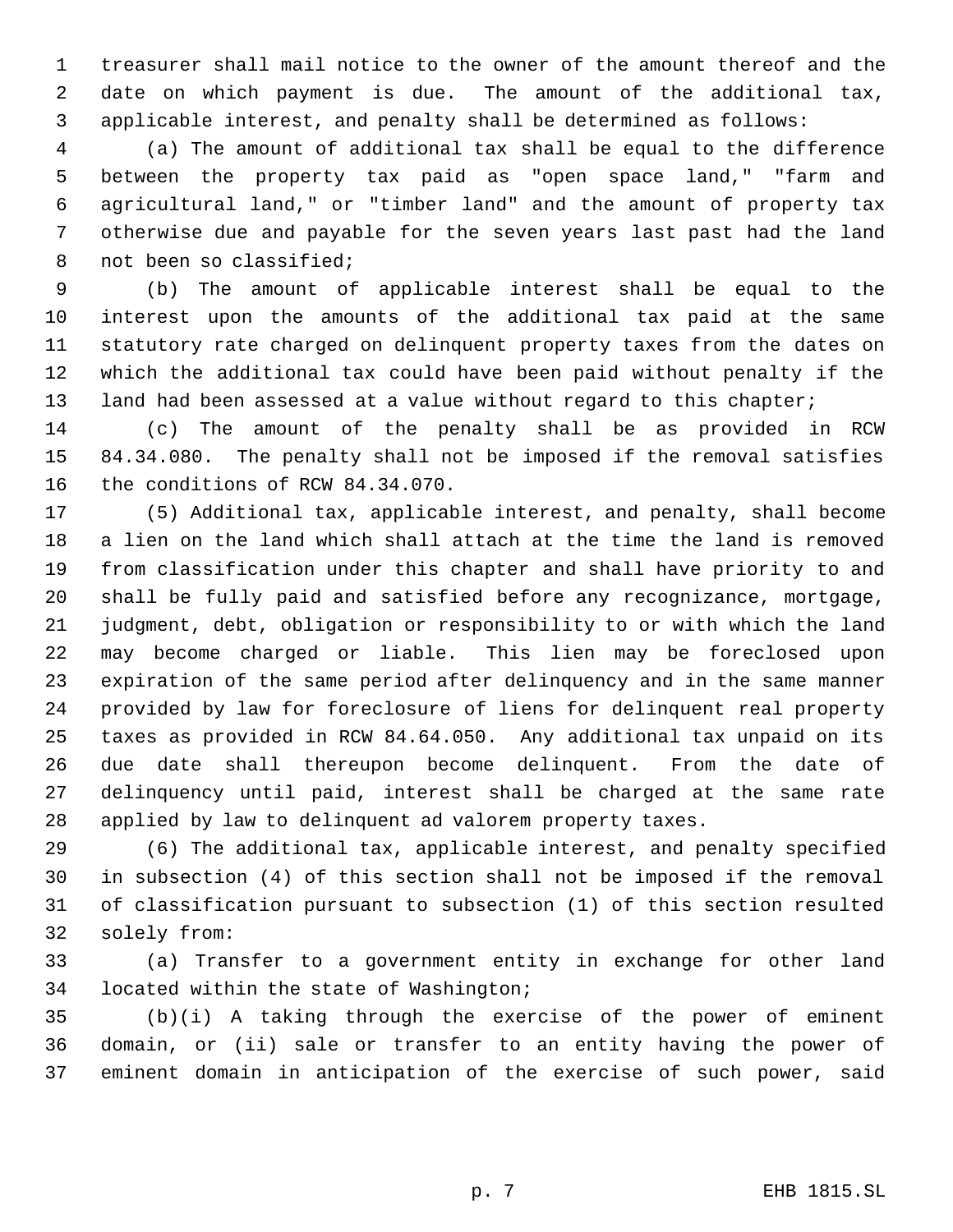treasurer shall mail notice to the owner of the amount thereof and the date on which payment is due. The amount of the additional tax, applicable interest, and penalty shall be determined as follows:

 (a) The amount of additional tax shall be equal to the difference between the property tax paid as "open space land," "farm and agricultural land," or "timber land" and the amount of property tax otherwise due and payable for the seven years last past had the land not been so classified;

 (b) The amount of applicable interest shall be equal to the interest upon the amounts of the additional tax paid at the same statutory rate charged on delinquent property taxes from the dates on which the additional tax could have been paid without penalty if the 13 land had been assessed at a value without regard to this chapter;

 (c) The amount of the penalty shall be as provided in RCW 84.34.080. The penalty shall not be imposed if the removal satisfies the conditions of RCW 84.34.070.

 (5) Additional tax, applicable interest, and penalty, shall become a lien on the land which shall attach at the time the land is removed from classification under this chapter and shall have priority to and shall be fully paid and satisfied before any recognizance, mortgage, judgment, debt, obligation or responsibility to or with which the land may become charged or liable. This lien may be foreclosed upon expiration of the same period after delinquency and in the same manner provided by law for foreclosure of liens for delinquent real property taxes as provided in RCW 84.64.050. Any additional tax unpaid on its due date shall thereupon become delinquent. From the date of delinquency until paid, interest shall be charged at the same rate applied by law to delinquent ad valorem property taxes.

 (6) The additional tax, applicable interest, and penalty specified in subsection (4) of this section shall not be imposed if the removal of classification pursuant to subsection (1) of this section resulted solely from:

 (a) Transfer to a government entity in exchange for other land located within the state of Washington;

 (b)(i) A taking through the exercise of the power of eminent domain, or (ii) sale or transfer to an entity having the power of eminent domain in anticipation of the exercise of such power, said